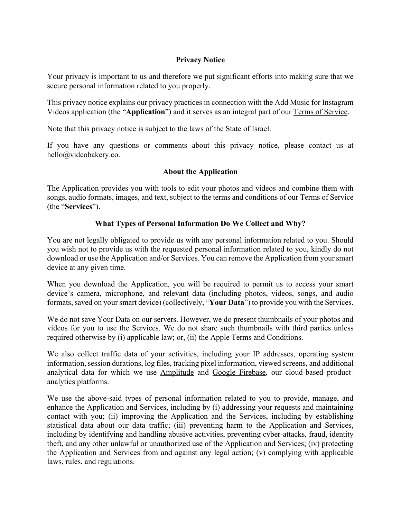## **Privacy Notice**

Your privacy is important to us and therefore we put significant efforts into making sure that we secure personal information related to you properly.

This privacy notice explains our privacy practices in connection with the Add Music for Instagram Videos application (the "**Application**") and it serves as an integral part of our Terms of Service.

Note that this privacy notice is subject to the laws of the State of Israel.

If you have any questions or comments about this privacy notice, please contact us at hello@videobakery.co.

#### **About the Application**

The Application provides you with tools to edit your photos and videos and combine them with songs, audio formats, images, and text, subject to the terms and conditions of our Terms of Service (the "**Services**").

# **What Types of Personal Information Do We Collect and Why?**

You are not legally obligated to provide us with any personal information related to you. Should you wish not to provide us with the requested personal information related to you, kindly do not download or use the Application and/or Services. You can remove the Application from yoursmart device at any given time.

When you download the Application, you will be required to permit us to access your smart device's camera, microphone, and relevant data (including photos, videos, songs, and audio formats, saved on your smart device) (collectively, "**Your Data**") to provide you with the Services.

We do not save Your Data on our servers. However, we do present thumbnails of your photos and videos for you to use the Services. We do not share such thumbnails with third parties unless required otherwise by (i) applicable law; or, (ii) the Apple Terms and Conditions.

We also collect traffic data of your activities, including your IP addresses, operating system information, session durations, log files, tracking pixel information, viewed screens, and additional analytical data for which we use Amplitude and Google Firebase, our cloud-based productanalytics platforms.

We use the above-said types of personal information related to you to provide, manage, and enhance the Application and Services, including by (i) addressing your requests and maintaining contact with you; (ii) improving the Application and the Services, including by establishing statistical data about our data traffic; (iii) preventing harm to the Application and Services, including by identifying and handling abusive activities, preventing cyber-attacks, fraud, identity theft, and any other unlawful or unauthorized use of the Application and Services; (iv) protecting the Application and Services from and against any legal action; (v) complying with applicable laws, rules, and regulations.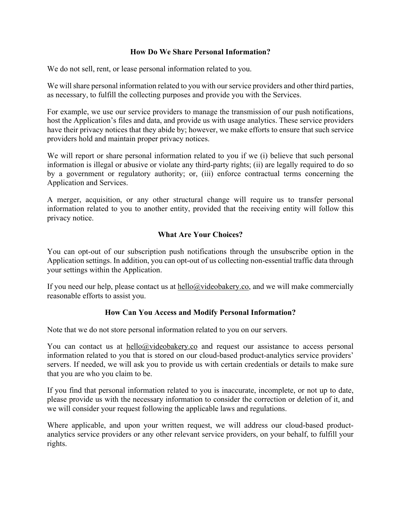#### **How Do We Share Personal Information?**

We do not sell, rent, or lease personal information related to you.

We will share personal information related to you with our service providers and other third parties, as necessary, to fulfill the collecting purposes and provide you with the Services.

For example, we use our service providers to manage the transmission of our push notifications, host the Application's files and data, and provide us with usage analytics. These service providers have their privacy notices that they abide by; however, we make efforts to ensure that such service providers hold and maintain proper privacy notices.

We will report or share personal information related to you if we (i) believe that such personal information is illegal or abusive or violate any third-party rights; (ii) are legally required to do so by a government or regulatory authority; or, (iii) enforce contractual terms concerning the Application and Services.

A merger, acquisition, or any other structural change will require us to transfer personal information related to you to another entity, provided that the receiving entity will follow this privacy notice.

## **What Are Your Choices?**

You can opt-out of our subscription push notifications through the unsubscribe option in the Application settings. In addition, you can opt-out of us collecting non-essential traffic data through your settings within the Application.

If you need our help, please contact us at  $\text{hello@videobakery.co}$ , and we will make commercially reasonable efforts to assist you.

## **How Can You Access and Modify Personal Information?**

Note that we do not store personal information related to you on our servers.

You can contact us at  $\text{hello@video}$  bakery.co and request our assistance to access personal information related to you that is stored on our cloud-based product-analytics service providers' servers. If needed, we will ask you to provide us with certain credentials or details to make sure that you are who you claim to be.

If you find that personal information related to you is inaccurate, incomplete, or not up to date, please provide us with the necessary information to consider the correction or deletion of it, and we will consider your request following the applicable laws and regulations.

Where applicable, and upon your written request, we will address our cloud-based productanalytics service providers or any other relevant service providers, on your behalf, to fulfill your rights.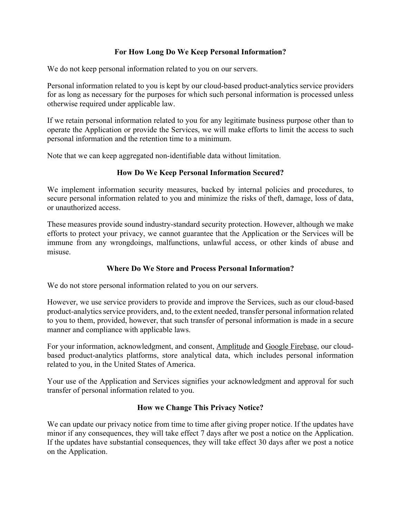## **For How Long Do We Keep Personal Information?**

We do not keep personal information related to you on our servers.

Personal information related to you is kept by our cloud-based product-analytics service providers for as long as necessary for the purposes for which such personal information is processed unless otherwise required under applicable law.

If we retain personal information related to you for any legitimate business purpose other than to operate the Application or provide the Services, we will make efforts to limit the access to such personal information and the retention time to a minimum.

Note that we can keep aggregated non-identifiable data without limitation.

## **How Do We Keep Personal Information Secured?**

We implement information security measures, backed by internal policies and procedures, to secure personal information related to you and minimize the risks of theft, damage, loss of data, or unauthorized access.

These measures provide sound industry-standard security protection. However, although we make efforts to protect your privacy, we cannot guarantee that the Application or the Services will be immune from any wrongdoings, malfunctions, unlawful access, or other kinds of abuse and misuse.

## **Where Do We Store and Process Personal Information?**

We do not store personal information related to you on our servers.

However, we use service providers to provide and improve the Services, such as our cloud-based product-analytics service providers, and, to the extent needed, transfer personal information related to you to them, provided, however, that such transfer of personal information is made in a secure manner and compliance with applicable laws.

For your information, acknowledgment, and consent, Amplitude and Google Firebase, our cloudbased product-analytics platforms, store analytical data, which includes personal information related to you, in the United States of America.

Your use of the Application and Services signifies your acknowledgment and approval for such transfer of personal information related to you.

## **How we Change This Privacy Notice?**

We can update our privacy notice from time to time after giving proper notice. If the updates have minor if any consequences, they will take effect 7 days after we post a notice on the Application. If the updates have substantial consequences, they will take effect 30 days after we post a notice on the Application.